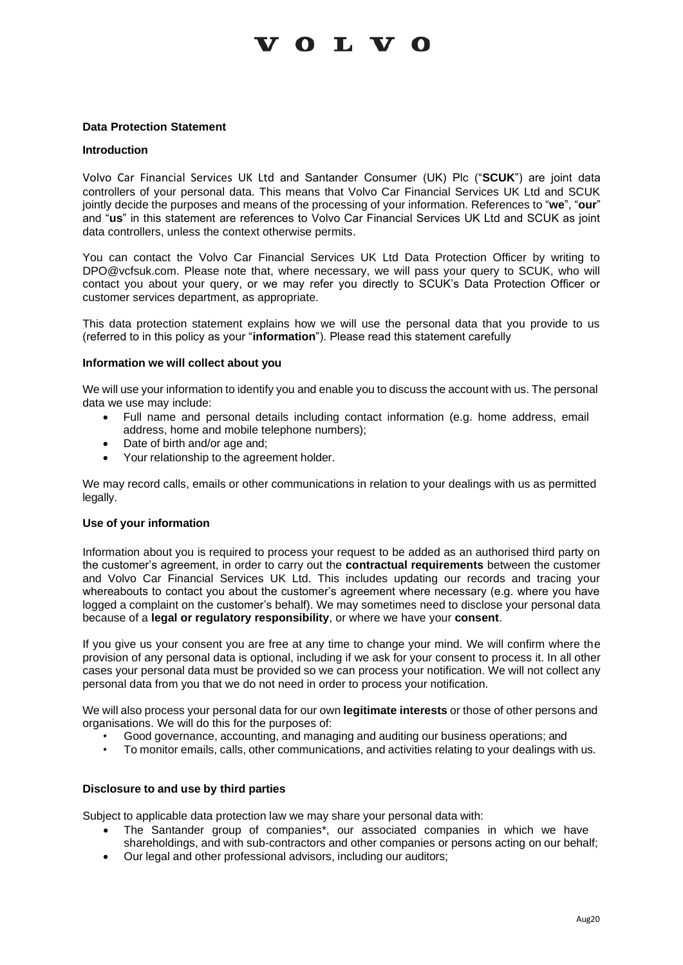# **VOLVO**

## **Data Protection Statement**

#### **Introduction**

Volvo Car Financial Services UK Ltd and Santander Consumer (UK) Plc ("**SCUK**") are joint data controllers of your personal data. This means that Volvo Car Financial Services UK Ltd and SCUK jointly decide the purposes and means of the processing of your information. References to "**we**", "**our**" and "**us**" in this statement are references to Volvo Car Financial Services UK Ltd and SCUK as joint data controllers, unless the context otherwise permits.

You can contact the Volvo Car Financial Services UK Ltd Data Protection Officer by writing to [DPO@vcfsuk.com.](mailto:DPO@vcfsuk.com) Please note that, where necessary, we will pass your query to SCUK, who will contact you about your query, or we may refer you directly to SCUK's Data Protection Officer or customer services department, as appropriate.

This data protection statement explains how we will use the personal data that you provide to us (referred to in this policy as your "**information**"). Please read this statement carefully

#### **Information we will collect about you**

We will use your information to identify you and enable you to discuss the account with us. The personal data we use may include:

- Full name and personal details including contact information (e.g. home address, email address, home and mobile telephone numbers);
- Date of birth and/or age and;
- Your relationship to the agreement holder.

We may record calls, emails or other communications in relation to your dealings with us as permitted legally.

#### **Use of your information**

Information about you is required to process your request to be added as an authorised third party on the customer's agreement, in order to carry out the **contractual requirements** between the customer and Volvo Car Financial Services UK Ltd. This includes updating our records and tracing your whereabouts to contact you about the customer's agreement where necessary (e.g. where you have logged a complaint on the customer's behalf). We may sometimes need to disclose your personal data because of a **legal or regulatory responsibility**, or where we have your **consent**.

If you give us your consent you are free at any time to change your mind. We will confirm where the provision of any personal data is optional, including if we ask for your consent to process it. In all other cases your personal data must be provided so we can process your notification. We will not collect any personal data from you that we do not need in order to process your notification.

We will also process your personal data for our own **legitimate interests** or those of other persons and organisations. We will do this for the purposes of:

- Good governance, accounting, and managing and auditing our business operations; and
- To monitor emails, calls, other communications, and activities relating to your dealings with us.

## **Disclosure to and use by third parties**

Subject to applicable data protection law we may share your personal data with:

- The Santander group of companies\*, our associated companies in which we have shareholdings, and with sub-contractors and other companies or persons acting on our behalf;
- Our legal and other professional advisors, including our auditors;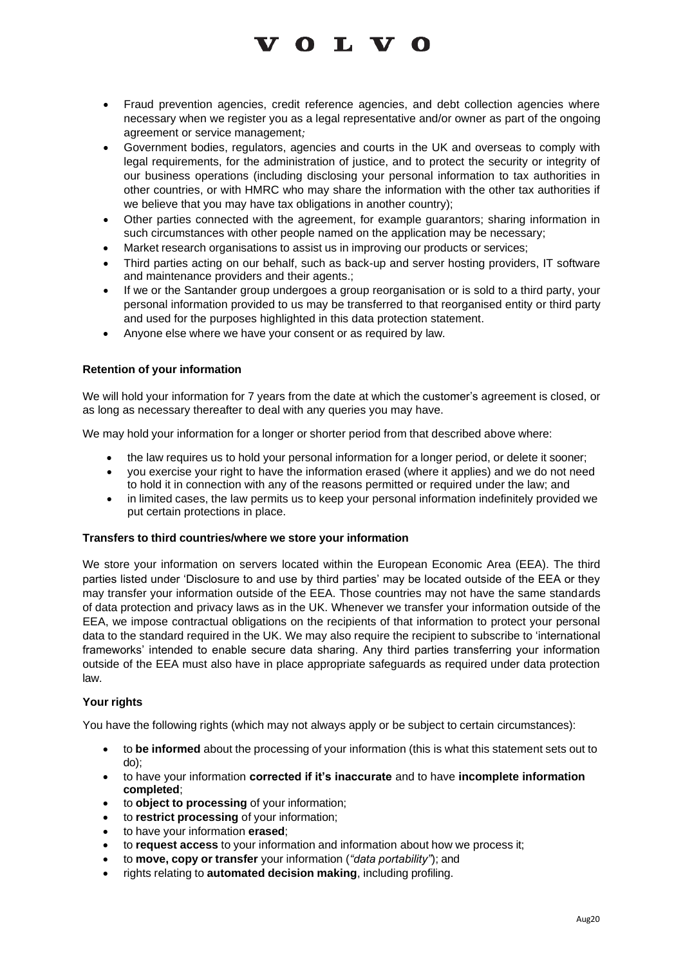

- Fraud prevention agencies, credit reference agencies, and debt collection agencies where necessary when we register you as a legal representative and/or owner as part of the ongoing agreement or service management*;*
- Government bodies, regulators, agencies and courts in the UK and overseas to comply with legal requirements, for the administration of justice, and to protect the security or integrity of our business operations (including disclosing your personal information to tax authorities in other countries, or with HMRC who may share the information with the other tax authorities if we believe that you may have tax obligations in another country);
- Other parties connected with the agreement, for example guarantors; sharing information in such circumstances with other people named on the application may be necessary;
- Market research organisations to assist us in improving our products or services;
- Third parties acting on our behalf, such as back-up and server hosting providers, IT software and maintenance providers and their agents.;
- If we or the Santander group undergoes a group reorganisation or is sold to a third party, your personal information provided to us may be transferred to that reorganised entity or third party and used for the purposes highlighted in this data protection statement.
- Anyone else where we have your consent or as required by law.

# **Retention of your information**

We will hold your information for 7 years from the date at which the customer's agreement is closed, or as long as necessary thereafter to deal with any queries you may have.

We may hold your information for a longer or shorter period from that described above where:

- the law requires us to hold your personal information for a longer period, or delete it sooner;
- you exercise your right to have the information erased (where it applies) and we do not need to hold it in connection with any of the reasons permitted or required under the law; and
- in limited cases, the law permits us to keep your personal information indefinitely provided we put certain protections in place.

## **Transfers to third countries/where we store your information**

We store your information on servers located within the European Economic Area (EEA). The third parties listed under 'Disclosure to and use by third parties' may be located outside of the EEA or they may transfer your information outside of the EEA. Those countries may not have the same standards of data protection and privacy laws as in the UK. Whenever we transfer your information outside of the EEA, we impose contractual obligations on the recipients of that information to protect your personal data to the standard required in the UK. We may also require the recipient to subscribe to 'international frameworks' intended to enable secure data sharing. Any third parties transferring your information outside of the EEA must also have in place appropriate safeguards as required under data protection law.

## **Your rights**

You have the following rights (which may not always apply or be subject to certain circumstances):

- to **be informed** about the processing of your information (this is what this statement sets out to do);
- to have your information **corrected if it's inaccurate** and to have **incomplete information completed**;
- to **object to processing** of your information;
- to **restrict processing** of your information;
- to have your information **erased**;
- to **request access** to your information and information about how we process it;
- to **move, copy or transfer** your information (*"data portability"*); and
- rights relating to **automated decision making**, including profiling.